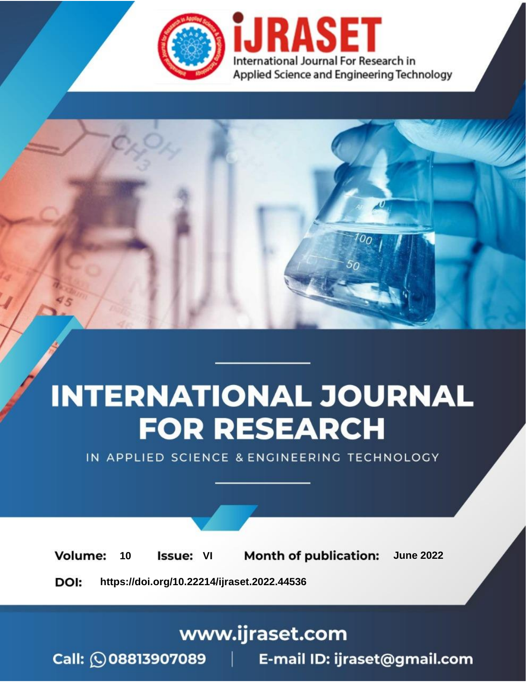

# **INTERNATIONAL JOURNAL FOR RESEARCH**

IN APPLIED SCIENCE & ENGINEERING TECHNOLOGY

**Month of publication: Volume:** 10 **Issue: VI June 2022** 

DOI: https://doi.org/10.22214/ijraset.2022.44536

www.ijraset.com

Call: 008813907089 | E-mail ID: ijraset@gmail.com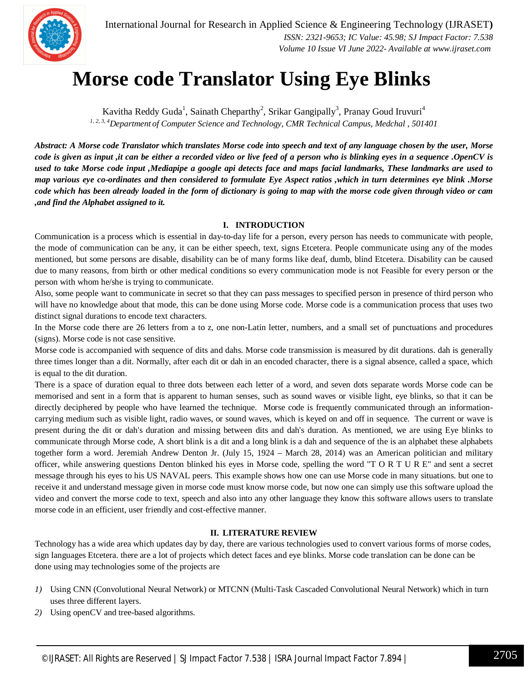

### **Morse code Translator Using Eye Blinks**

Kavitha Reddy Guda<sup>1</sup>, Sainath Cheparthy<sup>2</sup>, Srikar Gangipally<sup>3</sup>, Pranay Goud Iruvuri<sup>4</sup> *1, 2, 3, 4Department of Computer Science and Technology, CMR Technical Campus, Medchal , 501401*

*Abstract: A Morse code Translator which translates Morse code into speech and text of any language chosen by the user, Morse code is given as input ,it can be either a recorded video or live feed of a person who is blinking eyes in a sequence .OpenCV is used to take Morse code input ,Mediapipe a google api detects face and maps facial landmarks, These landmarks are used to map various eye co-ordinates and then considered to formulate Eye Aspect ratios ,which in turn determines eye blink .Morse code which has been already loaded in the form of dictionary is going to map with the morse code given through video or cam ,and find the Alphabet assigned to it.*

#### **I. INTRODUCTION**

Communication is a process which is essential in day-to-day life for a person, every person has needs to communicate with people, the mode of communication can be any, it can be either speech, text, signs Etcetera. People communicate using any of the modes mentioned, but some persons are disable, disability can be of many forms like deaf, dumb, blind Etcetera. Disability can be caused due to many reasons, from birth or other medical conditions so every communication mode is not Feasible for every person or the person with whom he/she is trying to communicate.

Also, some people want to communicate in secret so that they can pass messages to specified person in presence of third person who will have no knowledge about that mode, this can be done using Morse code. Morse code is a communication process that uses two distinct signal durations to encode text characters.

In the Morse code there are 26 letters from a to z, one non-Latin letter, numbers, and a small set of punctuations and procedures (signs). Morse code is not case sensitive.

Morse code is accompanied with sequence of dits and dahs. Morse code transmission is measured by dit durations. dah is generally three times longer than a dit. Normally, after each dit or dah in an encoded character, there is a signal absence, called a space, which is equal to the dit duration.

There is a space of duration equal to three dots between each letter of a word, and seven dots separate words Morse code can be memorised and sent in a form that is apparent to human senses, such as sound waves or visible light, eye blinks, so that it can be directly deciphered by people who have learned the technique. Morse code is frequently communicated through an informationcarrying medium such as visible light, radio waves, or sound waves, which is keyed on and off in sequence. The current or wave is present during the dit or dah's duration and missing between dits and dah's duration. As mentioned, we are using Eye blinks to communicate through Morse code, A short blink is a dit and a long blink is a dah and sequence of the is an alphabet these alphabets together form a word. Jeremiah Andrew Denton Jr. (July 15, 1924 – March 28, 2014) was an American politician and military officer, while answering questions Denton blinked his eyes in Morse code, spelling the word "T O R T U R E" and sent a secret message through his eyes to his US NAVAL peers. This example shows how one can use Morse code in many situations. but one to receive it and understand message given in morse code must know morse code, but now one can simply use this software upload the video and convert the morse code to text, speech and also into any other language they know this software allows users to translate morse code in an efficient, user friendly and cost-effective manner.

#### **II. LITERATURE REVIEW**

Technology has a wide area which updates day by day, there are various technologies used to convert various forms of morse codes, sign languages Etcetera. there are a lot of projects which detect faces and eye blinks. Morse code translation can be done can be done using may technologies some of the projects are

- *1)* Using CNN (Convolutional Neural Network) or MTCNN (Multi-Task Cascaded Convolutional Neural Network) which in turn uses three different layers.
- *2)* Using openCV and tree-based algorithms.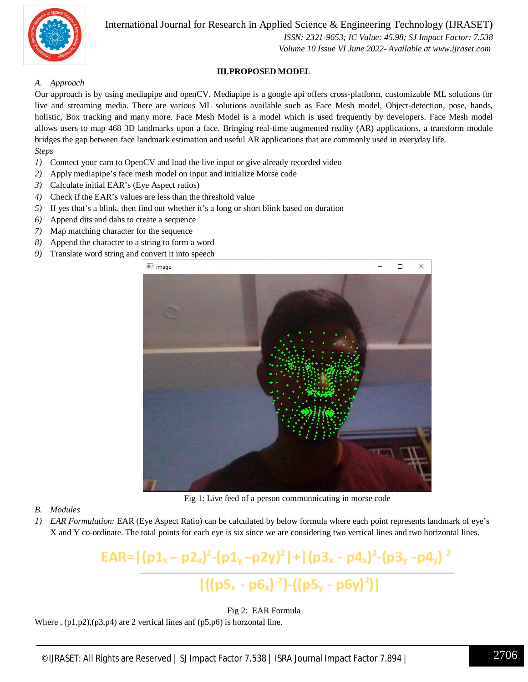

International Journal for Research in Applied Science & Engineering Technology (IJRASET**)**

 *ISSN: 2321-9653; IC Value: 45.98; SJ Impact Factor: 7.538 Volume 10 Issue VI June 2022- Available at www.ijraset.com*

#### **III.PROPOSED MODEL**

#### *A. Approach*

Our approach is by using mediapipe and openCV. Mediapipe is a google api offers cross-platform, customizable ML solutions for live and streaming media. There are various ML solutions available such as Face Mesh model, Object-detection, pose, hands, holistic, Box tracking and many more. Face Mesh Model is a model which is used frequently by developers. Face Mesh model allows users to map 468 3D landmarks upon a face. Bringing real-time augmented reality (AR) applications, a transform module bridges the gap between face landmark estimation and useful AR applications that are commonly used in everyday life. *Steps*

- *1)* Connect your cam to OpenCV and load the live input or give already recorded video
- *2)* Apply mediapipe's face mesh model on input and initialize Morse code
- *3)* Calculate initial EAR's (Eye Aspect ratios)
- *4)* Check if the EAR's values are less than the threshold value
- *5)* If yes that's a blink, then find out whether it's a long or short blink based on duration
- *6)* Append dits and dahs to create a sequence
- *7)* Map matching character for the sequence
- *8)* Append the character to a string to form a word
- *9)* Translate word string and convert it into speech



Fig 1: Live feed of a person communnicating in morse code

- *B. Modules*
- *1) EAR Formulation:* EAR (Eye Aspect Ratio) can be calculated by below formula where each point represents landmark of eye's X and Y co-ordinate. The total points for each eye is six since we are considering two vertical lines and two horizontal lines.

EAR= $|(p1_x-p2_x)^2-(p1_y-p2y)^2|+|(p3_x-p4_x)^2-(p3_y-p4_y)^2$  $|((p5_x - p6_x)^2)$ - $((p5_y - p6y)^2)|$ 

Fig 2:EAR Formula

Where,  $(p1,p2)$ ,  $(p3,p4)$  are 2 vertical lines anf  $(p5,p6)$  is horzontal line.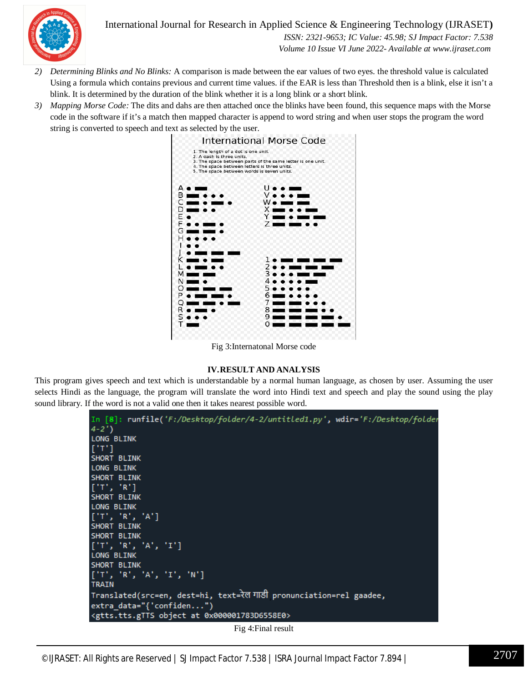

International Journal for Research in Applied Science & Engineering Technology (IJRASET**)**

 *ISSN: 2321-9653; IC Value: 45.98; SJ Impact Factor: 7.538 Volume 10 Issue VI June 2022- Available at www.ijraset.com*

- *2) Determining Blinks and No Blinks:* A comparison is made between the ear values of two eyes. the threshold value is calculated Using a formula which contains previous and current time values. if the EAR is less than Threshold then is a blink, else it isn't a blink. It is determined by the duration of the blink whether it is a long blink or a short blink.
- *3) Mapping Morse Code:* The dits and dahs are then attached once the blinks have been found, this sequence maps with the Morse code in the software if it's a match then mapped character is append to word string and when user stops the program the word string is converted to speech and text as selected by the user.



Fig 3:Internatonal Morse code

#### **IV.RESULT AND ANALYSIS**

This program gives speech and text which is understandable by a normal human language, as chosen by user. Assuming the user selects Hindi as the language, the program will translate the word into Hindi text and speech and play the sound using the play sound library. If the word is not a valid one then it takes nearest possible word.

| In [8]: runfile('F:/Desktop/folder/4-2/untitled1.py', wdir='F:/Desktop/folder<br>$4 - 2'$ |
|-------------------------------------------------------------------------------------------|
| <b>LONG BLINK</b>                                                                         |
| [1T]                                                                                      |
| <b>SHORT BLINK</b>                                                                        |
| <b>LONG BLINK</b>                                                                         |
| <b>SHORT BLINK</b>                                                                        |
| ['T', 'R']                                                                                |
| SHORT BLINK                                                                               |
| <b>LONG BLINK</b>                                                                         |
| [T, 'R', 'A']                                                                             |
| <b>SHORT BLINK</b>                                                                        |
| SHORT BLINK                                                                               |
| [11', 18', 14', 11']                                                                      |
| <b>LONG BLINK</b>                                                                         |
| <b>SHORT BLINK</b>                                                                        |
| [ 'T', 'R', 'A', 'I', 'N' ]                                                               |
| <b>TRAIN</b>                                                                              |
| Translated(src=en, dest=hi, text=रेल गाडी pronunciation=rel gaadee,                       |
| $extra_data="{'confiden")}$                                                               |
| <gtts.tts.gtts 0x000001783d6558e0="" at="" object=""></gtts.tts.gtts>                     |
| $\operatorname{Fin}$ $\Lambda$ Einal recult                                               |

Fig 4:Final result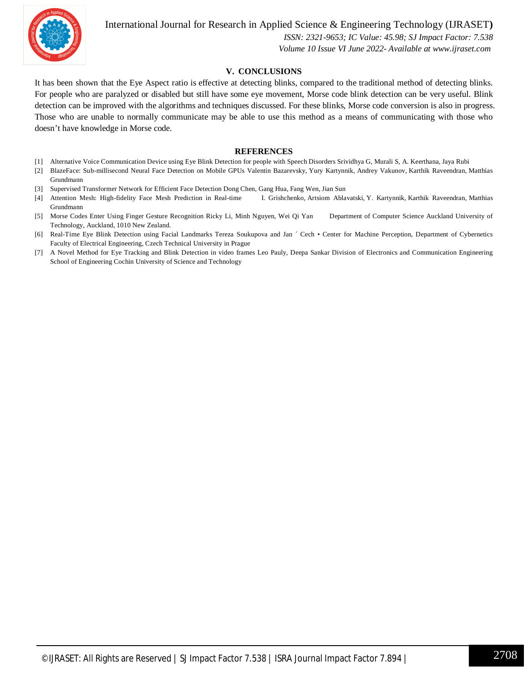

#### International Journal for Research in Applied Science & Engineering Technology (IJRASET**)**

 *ISSN: 2321-9653; IC Value: 45.98; SJ Impact Factor: 7.538*

 *Volume 10 Issue VI June 2022- Available at www.ijraset.com*

#### **V. CONCLUSIONS**

It has been shown that the Eye Aspect ratio is effective at detecting blinks, compared to the traditional method of detecting blinks. For people who are paralyzed or disabled but still have some eye movement, Morse code blink detection can be very useful. Blink detection can be improved with the algorithms and techniques discussed. For these blinks, Morse code conversion is also in progress. Those who are unable to normally communicate may be able to use this method as a means of communicating with those who doesn't have knowledge in Morse code.

#### **REFERENCES**

- [1] Alternative Voice Communication Device using Eye Blink Detection for people with Speech Disorders Srividhya G, Murali S, A. Keerthana, Jaya Rubi
- [2] BlazeFace: Sub-millisecond Neural Face Detection on Mobile GPUs Valentin Bazarevsky, Yury Kartynnik, Andrey Vakunov, Karthik Raveendran, Matthias Grundmann
- [3] Supervised Transformer Network for Efficient Face Detection Dong Chen, Gang Hua, Fang Wen, Jian Sun
- [4] Attention Mesh: High-fidelity Face Mesh Prediction in Real-time I. Grishchenko, Artsiom Ablavatski, Y. Kartynnik, Karthik Raveendran, Matthias Grundmann
- [5] Morse Codes Enter Using Finger Gesture Recognition Ricky Li, Minh Nguyen, Wei Qi Yan Department of Computer Science Auckland University of Technology, Auckland, 1010 New Zealand.
- [6] Real-Time Eye Blink Detection using Facial Landmarks Tereza Soukupova and Jan ´ Cech Center for Machine Perception, Department of Cybernetics Faculty of Electrical Engineering, Czech Technical University in Prague
- [7] A Novel Method for Eye Tracking and Blink Detection in video frames Leo Pauly, Deepa Sankar Division of Electronics and Communication Engineering School of Engineering Cochin University of Science and Technology